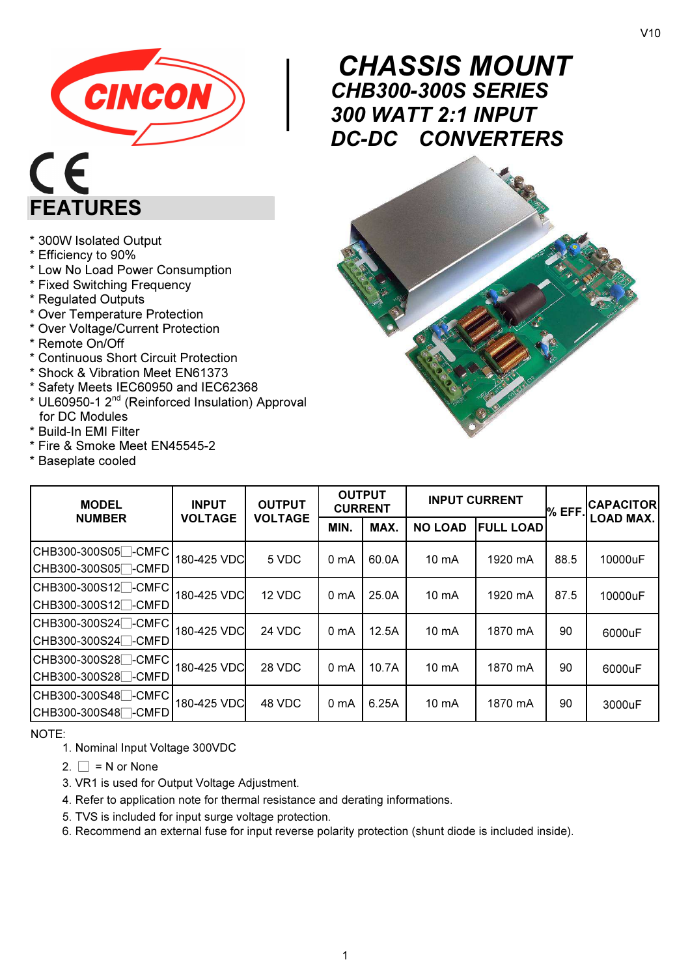

# CE FEATURES

#### \* 300W Isolated Output

- \* Efficiency to 90%
- \* Low No Load Power Consumption
- \* Fixed Switching Frequency
- \* Regulated Outputs
- \* Over Temperature Protection
- \* Over Voltage/Current Protection
- \* Remote On/Off
- \* Continuous Short Circuit Protection
- \* Shock & Vibration Meet EN61373
- \* Safety Meets IEC60950 and IEC62368
- \* UL60950-1 2nd (Reinforced Insulation) Approval
- for DC Modules
- \* Build-In EMI Filter
- \* Fire & Smoke Meet EN45545-2
- \* Baseplate cooled

### $\begin{array}{c}\nC \\
C \\
30\n\end{array}$ CHASSIS MOUNT CHB300-300S SERIES 300 WATT 2:1 INPUT DC-DC CONVERTERS



| <b>MODEL</b>                                                       | <b>INPUT</b>   | <b>OUTPUT</b>  | <b>OUTPUT</b><br><b>CURRENT</b> |       | <b>INPUT CURRENT</b> |                  | % EFF. | <b>CAPACITOR</b> |
|--------------------------------------------------------------------|----------------|----------------|---------------------------------|-------|----------------------|------------------|--------|------------------|
| <b>NUMBER</b>                                                      | <b>VOLTAGE</b> | <b>VOLTAGE</b> | MIN.                            | MAX.  | <b>NO LOAD</b>       | <b>FULL LOAD</b> |        | <b>LOAD MAX.</b> |
| CHB300-300S05 <sup>-</sup> CMFC<br>CHB300-300S05 <sup>-</sup> CMFD | 180-425 VDC    | 5 VDC          | 0 <sub>mA</sub>                 | 60.0A | $10 \text{ mA}$      | 1920 mA          | 88.5   | 10000uF          |
| CHB300-300S12 <sup>-</sup> CMFC<br>CHB300-300S12 <sup>-</sup> CMFD | 180-425 VDC    | 12 VDC         | 0 <sub>m</sub> A                | 25.0A | $10 \text{ mA}$      | 1920 mA          | 87.5   | 10000uF          |
| CHB300-300S24 <sup>-</sup> CMFC<br>CHB300-300S24□-CMFD             | 180-425 VDC    | 24 VDC         | 0 <sub>m</sub> A                | 12.5A | 10 mA                | 1870 mA          | 90     | 6000uF           |
| CHB300-300S28 <sup>-</sup> CMFC<br>CHB300-300S28 <sup>-</sup> CMFD | 180-425 VDC    | 28 VDC         | 0 <sub>mA</sub>                 | 10.7A | $10 \text{ mA}$      | 1870 mA          | 90     | 6000uF           |
| CHB300-300S48□-CMFC<br>CHB300-300S48 <sup>-</sup> CMFD             | 180-425 VDC    | 48 VDC         | 0 mA                            | 6.25A | $10 \text{ mA}$      | 1870 mA          | 90     | 3000uF           |

NOTE:

- 1. Nominal Input Voltage 300VDC
- 2.  $\Box$  = N or None
- 3. VR1 is used for Output Voltage Adjustment.
- 4. Refer to application note for thermal resistance and derating informations.
- 5. TVS is included for input surge voltage protection.
- 6. Recommend an external fuse for input reverse polarity protection (shunt diode is included inside).